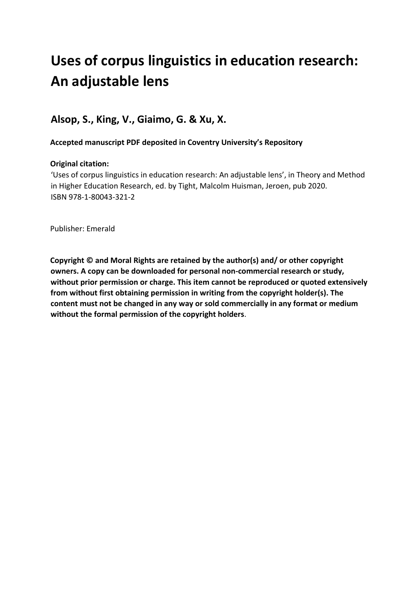# **Uses of corpus linguistics in education research: An adjustable lens**

## **Alsop, S., King, V., Giaimo, G. & Xu, X.**

## **Accepted manuscript PDF deposited in Coventry University's Repository**

## **Original citation:**

'Uses of corpus linguistics in education research: An adjustable lens', in Theory and Method in Higher Education Research, ed. by Tight, Malcolm Huisman, Jeroen, pub 2020. ISBN 978-1-80043-321-2

Publisher: Emerald

**Copyright © and Moral Rights are retained by the author(s) and/ or other copyright owners. A copy can be downloaded for personal non-commercial research or study, without prior permission or charge. This item cannot be reproduced or quoted extensively from without first obtaining permission in writing from the copyright holder(s). The content must not be changed in any way or sold commercially in any format or medium without the formal permission of the copyright holders**.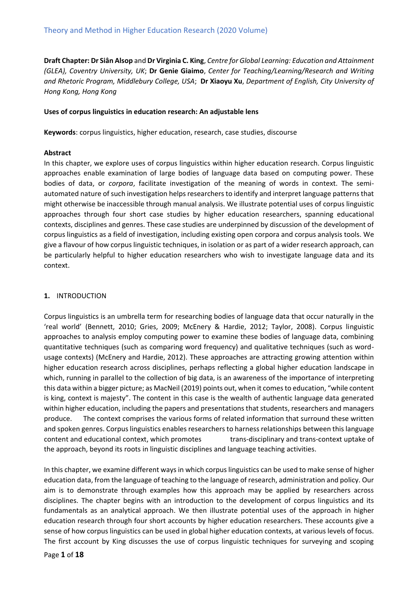**Draft Chapter: Dr Siân Alsop** and **Dr Virginia C. King**, *Centre for Global Learning: Education and Attainment (GLEA), Coventry University, UK*; **Dr Genie Giaimo**, *Center for Teaching/Learning/Research and Writing and Rhetoric Program, Middlebury College, USA*; **Dr Xiaoyu Xu**, *Department of English, City University of Hong Kong, Hong Kong*

#### **Uses of corpus linguistics in education research: An adjustable lens**

**Keywords**: corpus linguistics, higher education, research, case studies, discourse

#### **Abstract**

In this chapter, we explore uses of corpus linguistics within higher education research. Corpus linguistic approaches enable examination of large bodies of language data based on computing power. These bodies of data, or *corpora*, facilitate investigation of the meaning of words in context. The semiautomated nature of such investigation helps researchers to identify and interpret language patterns that might otherwise be inaccessible through manual analysis. We illustrate potential uses of corpus linguistic approaches through four short case studies by higher education researchers, spanning educational contexts, disciplines and genres. These case studies are underpinned by discussion of the development of corpus linguistics as a field of investigation, including existing open corpora and corpus analysis tools. We give a flavour of how corpus linguistic techniques, in isolation or as part of a wider research approach, can be particularly helpful to higher education researchers who wish to investigate language data and its context.

#### **1.** INTRODUCTION

Corpus linguistics is an umbrella term for researching bodies of language data that occur naturally in the 'real world' (Bennett, 2010; Gries, 2009; McEnery & Hardie, 2012; Taylor, 2008). Corpus linguistic approaches to analysis employ computing power to examine these bodies of language data, combining quantitative techniques (such as comparing word frequency) and qualitative techniques (such as wordusage contexts) (McEnery and Hardie, 2012). These approaches are attracting growing attention within higher education research across disciplines, perhaps reflecting a global higher education landscape in which, running in parallel to the collection of big data, is an awareness of the importance of interpreting this data within a bigger picture; as MacNeil (2019) points out, when it comes to education, "while content is king, context is majesty". The content in this case is the wealth of authentic language data generated within higher education, including the papers and presentations that students, researchers and managers produce. The context comprises the various forms of related information that surround these written and spoken genres. Corpus linguistics enables researchers to harness relationships between this language content and educational context, which promotes trans-disciplinary and trans-context uptake of the approach, beyond its roots in linguistic disciplines and language teaching activities.

In this chapter, we examine different ways in which corpus linguistics can be used to make sense of higher education data, from the language of teaching to the language of research, administration and policy. Our aim is to demonstrate through examples how this approach may be applied by researchers across disciplines. The chapter begins with an introduction to the development of corpus linguistics and its fundamentals as an analytical approach. We then illustrate potential uses of the approach in higher education research through four short accounts by higher education researchers. These accounts give a sense of how corpus linguistics can be used in global higher education contexts, at various levels of focus. The first account by King discusses the use of corpus linguistic techniques for surveying and scoping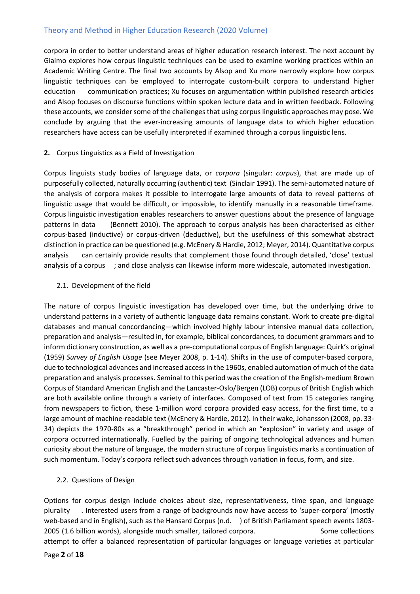corpora in order to better understand areas of higher education research interest. The next account by Giaimo explores how corpus linguistic techniques can be used to examine working practices within an Academic Writing Centre. The final two accounts by Alsop and Xu more narrowly explore how corpus linguistic techniques can be employed to interrogate custom-built corpora to understand higher education communication practices; Xu focuses on argumentation within published research articles and Alsop focuses on discourse functions within spoken lecture data and in written feedback. Following these accounts, we consider some of the challenges that using corpus linguistic approaches may pose. We conclude by arguing that the ever-increasing amounts of language data to which higher education researchers have access can be usefully interpreted if examined through a corpus linguistic lens.

#### **2.** Corpus Linguistics as a Field of Investigation

Corpus linguists study bodies of language data, or *corpora* (singular: *corpus*), that are made up of purposefully collected, naturally occurring (authentic) text (Sinclair 1991). The semi-automated nature of the analysis of corpora makes it possible to interrogate large amounts of data to reveal patterns of linguistic usage that would be difficult, or impossible, to identify manually in a reasonable timeframe. Corpus linguistic investigation enables researchers to answer questions about the presence of language patterns in data (Bennett 2010). The approach to corpus analysis has been characterised as either corpus-based (inductive) or corpus-driven (deductive), but the usefulness of this somewhat abstract distinction in practice can be questioned (e.g. McEnery & Hardie, 2012; Meyer, 2014). Quantitative corpus analysis can certainly provide results that complement those found through detailed, 'close' textual analysis of a corpus ; and close analysis can likewise inform more widescale, automated investigation.

#### 2.1. Development of the field

The nature of corpus linguistic investigation has developed over time, but the underlying drive to understand patterns in a variety of authentic language data remains constant. Work to create pre-digital databases and manual concordancing—which involved highly labour intensive manual data collection, preparation and analysis—resulted in, for example, biblical concordances, to document grammars and to inform dictionary construction, as well as a pre-computational corpus of English language: Quirk's original (1959) *Survey of English Usage* (see Meyer 2008, p. 1-14). Shifts in the use of computer-based corpora, due to technological advances and increased access in the 1960s, enabled automation of much of the data preparation and analysis processes. Seminal to this period was the creation of the English-medium Brown Corpus of Standard American English and the Lancaster-Oslo/Bergen (LOB) corpus of British English which are both available online through a variety of interfaces. Composed of text from 15 categories ranging from newspapers to fiction, these 1-million word corpora provided easy access, for the first time, to a large amount of machine-readable text (McEnery & Hardie, 2012). In their wake, Johansson (2008, pp. 33- 34) depicts the 1970-80s as a "breakthrough" period in which an "explosion" in variety and usage of corpora occurred internationally. Fuelled by the pairing of ongoing technological advances and human curiosity about the nature of language, the modern structure of corpus linguistics marks a continuation of such momentum. Today's corpora reflect such advances through variation in focus, form, and size.

### 2.2. Questions of Design

Options for corpus design include choices about size, representativeness, time span, and language plurality . Interested users from a range of backgrounds now have access to 'super-corpora' (mostly web-based and in English), such as the Hansard Corpus (n.d. ) of British Parliament speech events 1803- 2005 (1.6 billion words), alongside much smaller, tailored corpora. Some collections attempt to offer a balanced representation of particular languages or language varieties at particular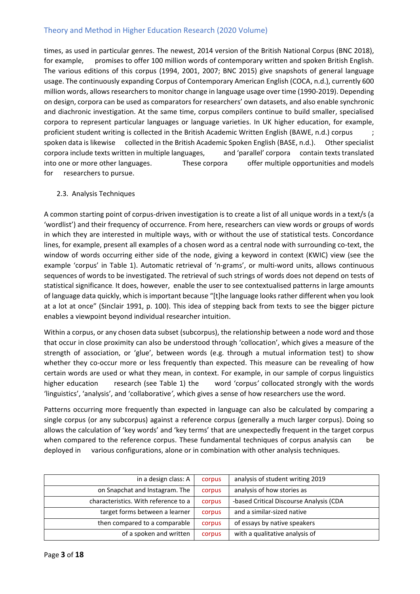times, as used in particular genres. The newest, 2014 version of the British National Corpus (BNC 2018), for example, promises to offer 100 million words of contemporary written and spoken British English. The various editions of this corpus (1994, 2001, 2007; BNC 2015) give snapshots of general language usage. The continuously expanding Corpus of Contemporary American English (COCA, n.d.), currently 600 million words, allows researchers to monitor change in language usage over time (1990-2019). Depending on design, corpora can be used as comparators for researchers' own datasets, and also enable synchronic and diachronic investigation. At the same time, corpus compilers continue to build smaller, specialised corpora to represent particular languages or language varieties. In UK higher education, for example, proficient student writing is collected in the British Academic Written English (BAWE, n.d.) corpus ; spoken data is likewise collected in the British Academic Spoken English (BASE, n.d.). Other specialist corpora include texts written in multiple languages, and 'parallel' corpora contain texts translated into one or more other languages. These corpora offer multiple opportunities and models for researchers to pursue.

2.3. Analysis Techniques

A common starting point of corpus-driven investigation is to create a list of all unique words in a text/s (a 'wordlist') and their frequency of occurrence. From here, researchers can view words or groups of words in which they are interested in multiple ways, with or without the use of statistical tests. Concordance lines, for example, present all examples of a chosen word as a central node with surrounding co-text, the window of words occurring either side of the node, giving a keyword in context (KWIC) view (see the example 'corpus' in Table 1). Automatic retrieval of 'n-grams', or multi-word units, allows continuous sequences of words to be investigated. The retrieval of such strings of words does not depend on tests of statistical significance. It does, however, enable the user to see contextualised patterns in large amounts of language data quickly, which is important because "[t]he language looks rather different when you look at a lot at once" (Sinclair 1991, p. 100). This idea of stepping back from texts to see the bigger picture enables a viewpoint beyond individual researcher intuition.

Within a corpus, or any chosen data subset (subcorpus), the relationship between a node word and those that occur in close proximity can also be understood through 'collocation', which gives a measure of the strength of association, or 'glue', between words (e.g. through a mutual information test) to show whether they co-occur more or less frequently than expected. This measure can be revealing of how certain words are used or what they mean, in context. For example, in our sample of corpus linguistics higher education research (see Table 1) the word 'corpus*'* collocated strongly with the words 'linguistics', 'analysis', and 'collaborative*'*, which gives a sense of how researchers use the word.

Patterns occurring more frequently than expected in language can also be calculated by comparing a single corpus (or any subcorpus) against a reference corpus (generally a much larger corpus). Doing so allows the calculation of 'key words' and 'key terms' that are unexpectedly frequent in the target corpus when compared to the reference corpus. These fundamental techniques of corpus analysis can be deployed in various configurations, alone or in combination with other analysis techniques.

| in a design class: A                 | corpus | analysis of student writing 2019        |
|--------------------------------------|--------|-----------------------------------------|
| on Snapchat and Instagram. The       | corpus | analysis of how stories as              |
| characteristics. With reference to a | corpus | -based Critical Discourse Analysis (CDA |
| target forms between a learner       | corpus | and a similar-sized native              |
| then compared to a comparable        | corpus | of essays by native speakers            |
| of a spoken and written              | corpus | with a qualitative analysis of          |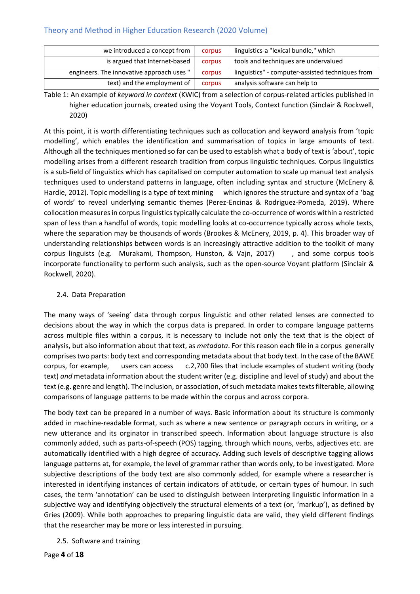| we introduced a concept from              | corpus | linguistics-a "lexical bundle," which            |
|-------------------------------------------|--------|--------------------------------------------------|
| is argued that Internet-based             | corpus | tools and techniques are undervalued             |
| engineers. The innovative approach uses " | corpus | linguistics" - computer-assisted techniques from |
| text) and the employment of               | corpus | analysis software can help to                    |

Table 1: An example of *keyword in context* (KWIC) from a selection of corpus-related articles published in higher education journals, created using the Voyant Tools, Context function (Sinclair & Rockwell, 2020)

At this point, it is worth differentiating techniques such as collocation and keyword analysis from 'topic modelling', which enables the identification and summarisation of topics in large amounts of text. Although all the techniques mentioned so far can be used to establish what a body of text is 'about', topic modelling arises from a different research tradition from corpus linguistic techniques. Corpus linguistics is a sub-field of linguistics which has capitalised on computer automation to scale up manual text analysis techniques used to understand patterns in language, often including syntax and structure (McEnery & Hardie, 2012). Topic modelling is a type of text mining which ignores the structure and syntax of a 'bag of words' to reveal underlying semantic themes (Perez-Encinas & Rodriguez-Pomeda, 2019). Where collocation measures in corpus linguistics typically calculate the co-occurrence of words within a restricted span of less than a handful of words, topic modelling looks at co-occurrence typically across whole texts, where the separation may be thousands of words (Brookes & McEnery, 2019, p. 4). This broader way of understanding relationships between words is an increasingly attractive addition to the toolkit of many corpus linguists (e.g. Murakami, Thompson, Hunston, & Vajn, 2017) , and some corpus tools incorporate functionality to perform such analysis, such as the open-source Voyant platform (Sinclair & Rockwell, 2020).

### 2.4. Data Preparation

The many ways of 'seeing' data through corpus linguistic and other related lenses are connected to decisions about the way in which the corpus data is prepared. In order to compare language patterns across multiple files within a corpus, it is necessary to include not only the text that is the object of analysis, but also information about that text, as *metadata*. For this reason each file in a corpus generally comprisestwo parts: body text and corresponding metadata about that body text. In the case of the BAWE corpus, for example, users can access c.2,700 files that include examples of student writing (body text) *and* metadata information about the student writer (e.g. discipline and level of study) and about the text (e.g. genre and length). The inclusion, or association, of such metadata makes texts filterable, allowing comparisons of language patterns to be made within the corpus and across corpora.

The body text can be prepared in a number of ways. Basic information about its structure is commonly added in machine-readable format, such as where a new sentence or paragraph occurs in writing, or a new utterance and its orginator in transcribed speech. Information about language structure is also commonly added, such as parts-of-speech (POS) tagging, through which nouns, verbs, adjectives etc. are automatically identified with a high degree of accuracy. Adding such levels of descriptive tagging allows language patterns at, for example, the level of grammar rather than words only, to be investigated. More subjective descriptions of the body text are also commonly added, for example where a researcher is interested in identifying instances of certain indicators of attitude, or certain types of humour. In such cases, the term 'annotation' can be used to distinguish between interpreting linguistic information in a subjective way and identifying objectively the structural elements of a text (or, 'markup'), as defined by Gries (2009). While both approaches to preparing linguistic data are valid, they yield different findings that the researcher may be more or less interested in pursuing.

2.5. Software and training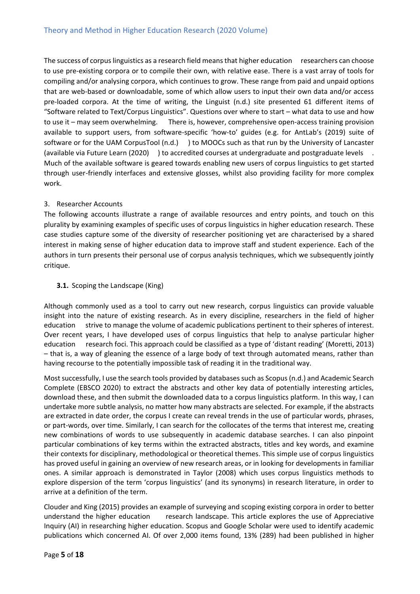The success of corpus linguistics as a research field means that higher education researchers can choose to use pre-existing corpora or to compile their own, with relative ease. There is a vast array of tools for compiling and/or analysing corpora, which continues to grow. These range from paid and unpaid options that are web-based or downloadable, some of which allow users to input their own data and/or access pre-loaded corpora. At the time of writing, the Linguist (n.d.) site presented 61 different items of "Software related to Text/Corpus Linguistics". Questions over where to start – what data to use and how to use it – may seem overwhelming. There is, however, comprehensive open-access training provision available to support users, from software-specific 'how-to' guides (e.g. for AntLab's (2019) suite of software or for the UAM CorpusTool (n.d.) ) to MOOCs such as that run by the University of Lancaster (available via Future Learn (2020) ) to accredited courses at undergraduate and postgraduate levels . Much of the available software is geared towards enabling new users of corpus linguistics to get started through user-friendly interfaces and extensive glosses, whilst also providing facility for more complex work.

## 3. Researcher Accounts

The following accounts illustrate a range of available resources and entry points, and touch on this plurality by examining examples of specific uses of corpus linguistics in higher education research. These case studies capture some of the diversity of researcher positioning yet are characterised by a shared interest in making sense of higher education data to improve staff and student experience. Each of the authors in turn presents their personal use of corpus analysis techniques, which we subsequently jointly critique.

### **3.1.** Scoping the Landscape (King)

Although commonly used as a tool to carry out new research, corpus linguistics can provide valuable insight into the nature of existing research. As in every discipline, researchers in the field of higher education strive to manage the volume of academic publications pertinent to their spheres of interest. Over recent years, I have developed uses of corpus linguistics that help to analyse particular higher education research foci. This approach could be classified as a type of 'distant reading' (Moretti, 2013) – that is, a way of gleaning the essence of a large body of text through automated means, rather than having recourse to the potentially impossible task of reading it in the traditional way.

Most successfully, I use the search tools provided by databases such as Scopus (n.d.) and Academic Search Complete (EBSCO 2020) to extract the abstracts and other key data of potentially interesting articles, download these, and then submit the downloaded data to a corpus linguistics platform. In this way, I can undertake more subtle analysis, no matter how many abstracts are selected. For example, if the abstracts are extracted in date order, the corpus I create can reveal trends in the use of particular words, phrases, or part-words, over time. Similarly, I can search for the collocates of the terms that interest me, creating new combinations of words to use subsequently in academic database searches. I can also pinpoint particular combinations of key terms within the extracted abstracts, titles and key words, and examine their contexts for disciplinary, methodological or theoretical themes. This simple use of corpus linguistics has proved useful in gaining an overview of new research areas, or in looking for developments in familiar ones. A similar approach is demonstrated in Taylor (2008) which uses corpus linguistics methods to explore dispersion of the term 'corpus linguistics' (and its synonyms) in research literature, in order to arrive at a definition of the term.

Clouder and King (2015) provides an example of surveying and scoping existing corpora in order to better understand the higher education research landscape. This article explores the use of Appreciative Inquiry (AI) in researching higher education. Scopus and Google Scholar were used to identify academic publications which concerned AI. Of over 2,000 items found, 13% (289) had been published in higher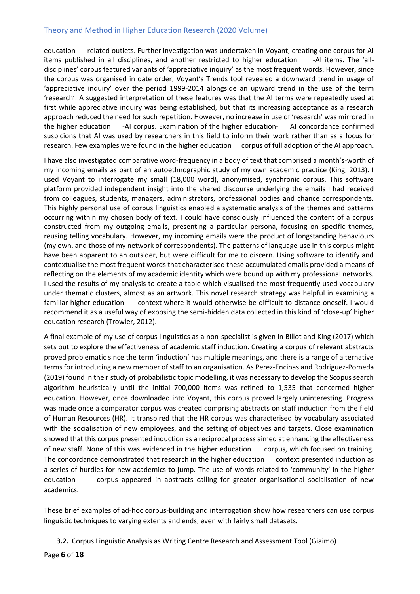education -related outlets. Further investigation was undertaken in Voyant, creating one corpus for AI items published in all disciplines, and another restricted to higher education -AI items. The 'alldisciplines' corpus featured variants of 'appreciative inquiry' as the most frequent words. However, since the corpus was organised in date order, Voyant's Trends tool revealed a downward trend in usage of 'appreciative inquiry' over the period 1999-2014 alongside an upward trend in the use of the term 'research'. A suggested interpretation of these features was that the AI terms were repeatedly used at first while appreciative inquiry was being established, but that its increasing acceptance as a research approach reduced the need for such repetition. However, no increase in use of 'research' was mirrored in the higher education -AI corpus. Examination of the higher education- AI concordance confirmed suspicions that AI was used by researchers in this field to inform their work rather than as a focus for research. Few examples were found in the higher education corpus of full adoption of the AI approach.

I have also investigated comparative word-frequency in a body of text that comprised a month's-worth of my incoming emails as part of an autoethnographic study of my own academic practice (King, 2013). I used Voyant to interrogate my small (18,000 word), anonymised, synchronic corpus. This software platform provided independent insight into the shared discourse underlying the emails I had received from colleagues, students, managers, administrators, professional bodies and chance correspondents. This highly personal use of corpus linguistics enabled a systematic analysis of the themes and patterns occurring within my chosen body of text. I could have consciously influenced the content of a corpus constructed from my outgoing emails, presenting a particular persona, focusing on specific themes, reusing telling vocabulary. However, my incoming emails were the product of longstanding behaviours (my own, and those of my network of correspondents). The patterns of language use in this corpus might have been apparent to an outsider, but were difficult for me to discern. Using software to identify and contextualise the most frequent words that characterised these accumulated emails provided a means of reflecting on the elements of my academic identity which were bound up with my professional networks. I used the results of my analysis to create a table which visualised the most frequently used vocabulary under thematic clusters, almost as an artwork. This novel research strategy was helpful in examining a familiar higher education context where it would otherwise be difficult to distance oneself. I would recommend it as a useful way of exposing the semi-hidden data collected in this kind of 'close-up' higher education research (Trowler, 2012).

A final example of my use of corpus linguistics as a non-specialist is given in Billot and King (2017) which sets out to explore the effectiveness of academic staff induction. Creating a corpus of relevant abstracts proved problematic since the term 'induction' has multiple meanings, and there is a range of alternative terms for introducing a new member of staff to an organisation. As Perez-Encinas and Rodriguez-Pomeda (2019) found in their study of probabilistic topic modelling, it was necessary to develop the Scopus search algorithm heuristically until the initial 700,000 items was refined to 1,535 that concerned higher education. However, once downloaded into Voyant, this corpus proved largely uninteresting. Progress was made once a comparator corpus was created comprising abstracts on staff induction from the field of Human Resources (HR). It transpired that the HR corpus was characterised by vocabulary associated with the socialisation of new employees, and the setting of objectives and targets. Close examination showed that this corpus presented induction as a reciprocal process aimed at enhancing the effectiveness of new staff. None of this was evidenced in the higher education corpus, which focused on training. The concordance demonstrated that research in the higher education context presented induction as a series of hurdles for new academics to jump. The use of words related to 'community' in the higher education corpus appeared in abstracts calling for greater organisational socialisation of new academics.

These brief examples of ad-hoc corpus-building and interrogation show how researchers can use corpus linguistic techniques to varying extents and ends, even with fairly small datasets.

**3.2.** Corpus Linguistic Analysis as Writing Centre Research and Assessment Tool (Giaimo)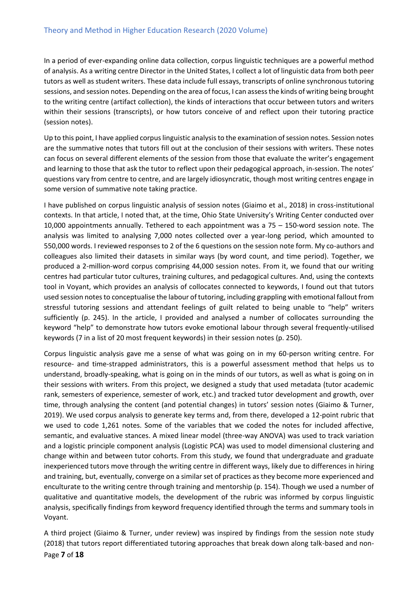In a period of ever-expanding online data collection, corpus linguistic techniques are a powerful method of analysis. As a writing centre Director in the United States, I collect a lot of linguistic data from both peer tutors as well as student writers. These data include full essays, transcripts of online synchronous tutoring sessions, and session notes. Depending on the area of focus, I can assess the kinds of writing being brought to the writing centre (artifact collection), the kinds of interactions that occur between tutors and writers within their sessions (transcripts), or how tutors conceive of and reflect upon their tutoring practice (session notes).

Up to this point, I have applied corpus linguistic analysis to the examination of session notes. Session notes are the summative notes that tutors fill out at the conclusion of their sessions with writers. These notes can focus on several different elements of the session from those that evaluate the writer's engagement and learning to those that ask the tutor to reflect upon their pedagogical approach, in-session. The notes' questions vary from centre to centre, and are largely idiosyncratic, though most writing centres engage in some version of summative note taking practice.

I have published on corpus linguistic analysis of session notes (Giaimo et al., 2018) in cross-institutional contexts. In that article, I noted that, at the time, Ohio State University's Writing Center conducted over 10,000 appointments annually. Tethered to each appointment was a 75 – 150-word session note. The analysis was limited to analysing 7,000 notes collected over a year-long period, which amounted to 550,000 words. I reviewed responses to 2 of the 6 questions on the session note form. My co-authors and colleagues also limited their datasets in similar ways (by word count, and time period). Together, we produced a 2-million-word corpus comprising 44,000 session notes. From it, we found that our writing centres had particular tutor cultures, training cultures, and pedagogical cultures. And, using the contexts tool in Voyant, which provides an analysis of collocates connected to keywords, I found out that tutors used session notes to conceptualise the labour of tutoring, including grappling with emotional fallout from stressful tutoring sessions and attendant feelings of guilt related to being unable to "help" writers sufficiently (p. 245). In the article, I provided and analysed a number of collocates surrounding the keyword "help" to demonstrate how tutors evoke emotional labour through several frequently-utilised keywords (7 in a list of 20 most frequent keywords) in their session notes (p. 250).

Corpus linguistic analysis gave me a sense of what was going on in my 60-person writing centre. For resource- and time-strapped administrators, this is a powerful assessment method that helps us to understand, broadly-speaking, what is going on in the minds of our tutors, as well as what is going on in their sessions with writers. From this project, we designed a study that used metadata (tutor academic rank, semesters of experience, semester of work, etc.) and tracked tutor development and growth, over time, through analysing the content (and potential changes) in tutors' session notes (Giaimo & Turner, 2019). We used corpus analysis to generate key terms and, from there, developed a 12-point rubric that we used to code 1,261 notes. Some of the variables that we coded the notes for included affective, semantic, and evaluative stances. A mixed linear model (three-way ANOVA) was used to track variation and a logistic principle component analysis (Logistic PCA) was used to model dimensional clustering and change within and between tutor cohorts. From this study, we found that undergraduate and graduate inexperienced tutors move through the writing centre in different ways, likely due to differences in hiring and training, but, eventually, converge on a similar set of practices as they become more experienced and enculturate to the writing centre through training and mentorship (p. 154). Though we used a number of qualitative and quantitative models, the development of the rubric was informed by corpus linguistic analysis, specifically findings from keyword frequency identified through the terms and summary tools in Voyant.

Page **7** of **18** A third project (Giaimo & Turner, under review) was inspired by findings from the session note study (2018) that tutors report differentiated tutoring approaches that break down along talk-based and non-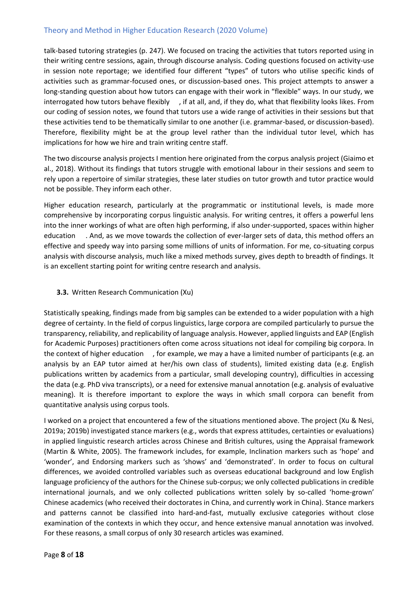talk-based tutoring strategies (p. 247). We focused on tracing the activities that tutors reported using in their writing centre sessions, again, through discourse analysis. Coding questions focused on activity-use in session note reportage; we identified four different "types" of tutors who utilise specific kinds of activities such as grammar-focused ones, or discussion-based ones. This project attempts to answer a long-standing question about how tutors can engage with their work in "flexible" ways. In our study, we interrogated how tutors behave flexibly , if at all, and, if they do, what that flexibility looks likes. From our coding of session notes, we found that tutors use a wide range of activities in their sessions but that these activities tend to be thematically similar to one another (i.e. grammar-based, or discussion-based). Therefore, flexibility might be at the group level rather than the individual tutor level, which has implications for how we hire and train writing centre staff.

The two discourse analysis projects I mention here originated from the corpus analysis project (Giaimo et al., 2018). Without its findings that tutors struggle with emotional labour in their sessions and seem to rely upon a repertoire of similar strategies, these later studies on tutor growth and tutor practice would not be possible. They inform each other.

Higher education research, particularly at the programmatic or institutional levels, is made more comprehensive by incorporating corpus linguistic analysis. For writing centres, it offers a powerful lens into the inner workings of what are often high performing, if also under-supported, spaces within higher education . And, as we move towards the collection of ever-larger sets of data, this method offers an effective and speedy way into parsing some millions of units of information. For me, co-situating corpus analysis with discourse analysis, much like a mixed methods survey, gives depth to breadth of findings. It is an excellent starting point for writing centre research and analysis.

#### **3.3.** Written Research Communication (Xu)

Statistically speaking, findings made from big samples can be extended to a wider population with a high degree of certainty. In the field of corpus linguistics, large corpora are compiled particularly to pursue the transparency, reliability, and replicability of language analysis. However, applied linguists and EAP (English for Academic Purposes) practitioners often come across situations not ideal for compiling big corpora. In the context of higher education , for example, we may a have a limited number of participants (e.g. an analysis by an EAP tutor aimed at her/his own class of students), limited existing data (e.g. English publications written by academics from a particular, small developing country), difficulties in accessing the data (e.g. PhD viva transcripts), or a need for extensive manual annotation (e.g. analysis of evaluative meaning). It is therefore important to explore the ways in which small corpora can benefit from quantitative analysis using corpus tools.

I worked on a project that encountered a few of the situations mentioned above. The project (Xu & Nesi, 2019a; 2019b) investigated stance markers (e.g., words that express attitudes, certainties or evaluations) in applied linguistic research articles across Chinese and British cultures, using the Appraisal framework (Martin & White, 2005). The framework includes, for example, Inclination markers such as 'hope' and 'wonder', and Endorsing markers such as 'shows' and 'demonstrated'. In order to focus on cultural differences, we avoided controlled variables such as overseas educational background and low English language proficiency of the authors for the Chinese sub-corpus; we only collected publications in credible international journals, and we only collected publications written solely by so-called 'home-grown' Chinese academics (who received their doctorates in China, and currently work in China). Stance markers and patterns cannot be classified into hard-and-fast, mutually exclusive categories without close examination of the contexts in which they occur, and hence extensive manual annotation was involved. For these reasons, a small corpus of only 30 research articles was examined.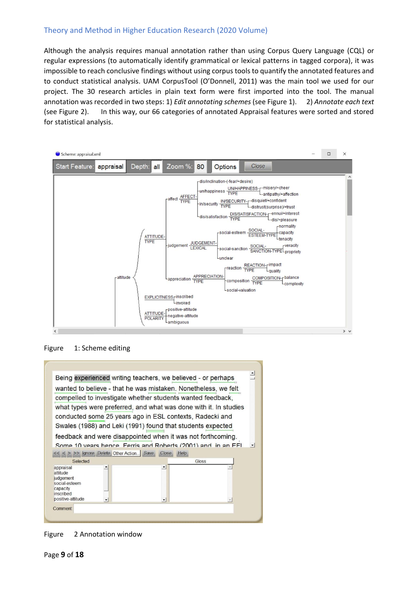Although the analysis requires manual annotation rather than using Corpus Query Language (CQL) or regular expressions (to automatically identify grammatical or lexical patterns in tagged corpora), it was impossible to reach conclusive findings without using corpus tools to quantify the annotated features and to conduct statistical analysis. UAM CorpusTool (O'Donnell, 2011) was the main tool we used for our project. The 30 research articles in plain text form were first imported into the tool. The manual annotation was recorded in two steps: 1) *Edit annotating schemes* (see Figure 1). 2) *Annotate each text* (see Figure 2). In this way, our 66 categories of annotated Appraisal features were sorted and stored for statistical analysis.



Figure 1: Scheme editing

|                                         | Being experienced writing teachers, we believed - or perhaps     |
|-----------------------------------------|------------------------------------------------------------------|
|                                         | wanted to believe - that he was mistaken. Nonetheless, we felt   |
|                                         | compelled to investigate whether students wanted feedback,       |
|                                         | what types were preferred, and what was done with it. In studies |
|                                         | conducted some 25 years ago in ESL contexts, Radecki and         |
|                                         | Swales (1988) and Leki (1991) found that students expected       |
|                                         | feedback and were disappointed when it was not forthcoming.      |
|                                         | Some 10 years hence. Ferris and Roberts (2001) and in an FFI     |
| << > >> Ignore Delete Other Action Save | Close<br>Help                                                    |
| <b>Selected</b>                         | <b>Gloss</b>                                                     |
| appraisal                               |                                                                  |
|                                         |                                                                  |
| attitude<br>judgement                   |                                                                  |
| social-esteem<br>capacity               |                                                                  |
| inscribed<br>positive-attitude          |                                                                  |

Figure 2 Annotation window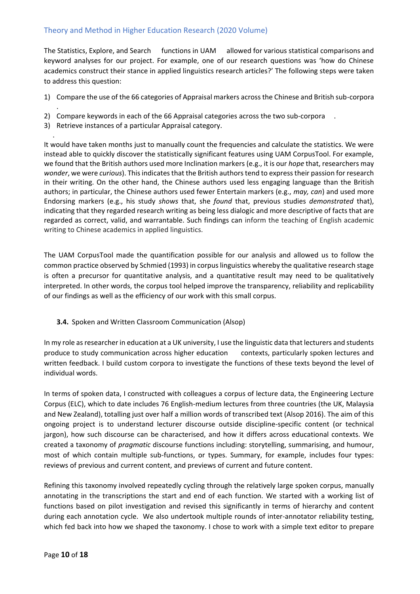The Statistics, Explore, and Search functions in UAM allowed for various statistical comparisons and keyword analyses for our project. For example, one of our research questions was 'how do Chinese academics construct their stance in applied linguistics research articles?' The following steps were taken to address this question:

- 1) Compare the use of the 66 categories of Appraisal markers across the Chinese and British sub-corpora
- . 2) Compare keywords in each of the 66 Appraisal categories across the two sub-corpora .
- 3) Retrieve instances of a particular Appraisal category.

.

It would have taken months just to manually count the frequencies and calculate the statistics. We were instead able to quickly discover the statistically significant features using UAM CorpusTool. For example, we found that the British authors used more Inclination markers (e.g., it is our *hope* that, researchers may *wonder*, we were *curious*). This indicates that the British authors tend to express their passion for research in their writing. On the other hand, the Chinese authors used less engaging language than the British authors; in particular, the Chinese authors used fewer Entertain markers (e.g., *may, can*) and used more Endorsing markers (e.g., his study *shows* that, she *found* that, previous studies *demonstrated* that), indicating that they regarded research writing as being less dialogic and more descriptive of facts that are regarded as correct, valid, and warrantable. Such findings can inform the teaching of English academic writing to Chinese academics in applied linguistics.

The UAM CorpusTool made the quantification possible for our analysis and allowed us to follow the common practice observed by Schmied (1993) in corpus linguistics whereby the qualitative research stage is often a precursor for quantitative analysis, and a quantitative result may need to be qualitatively interpreted. In other words, the corpus tool helped improve the transparency, reliability and replicability of our findings as well as the efficiency of our work with this small corpus.

#### **3.4.** Spoken and Written Classroom Communication (Alsop)

In my role as researcher in education at a UK university, I use the linguistic data that lecturers and students produce to study communication across higher education contexts, particularly spoken lectures and written feedback. I build custom corpora to investigate the functions of these texts beyond the level of individual words.

In terms of spoken data, I constructed with colleagues a corpus of lecture data, the Engineering Lecture Corpus (ELC), which to date includes 76 English-medium lectures from three countries (the UK, Malaysia and New Zealand), totalling just over half a million words of transcribed text (Alsop 2016). The aim of this ongoing project is to understand lecturer discourse outside discipline-specific content (or technical jargon), how such discourse can be characterised, and how it differs across educational contexts. We created a taxonomy of *pragmatic* discourse functions including: storytelling, summarising, and humour, most of which contain multiple sub-functions, or types. Summary, for example, includes four types: reviews of previous and current content, and previews of current and future content.

Refining this taxonomy involved repeatedly cycling through the relatively large spoken corpus, manually annotating in the transcriptions the start and end of each function. We started with a working list of functions based on pilot investigation and revised this significantly in terms of hierarchy and content during each annotation cycle. We also undertook multiple rounds of inter-annotator reliability testing, which fed back into how we shaped the taxonomy. I chose to work with a simple text editor to prepare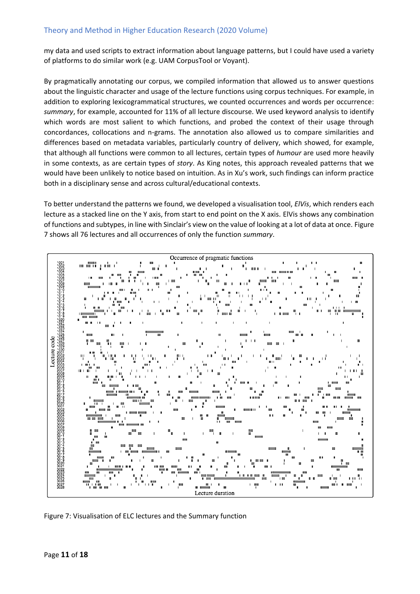my data and used scripts to extract information about language patterns, but I could have used a variety of platforms to do similar work (e.g. UAM CorpusTool or Voyant).

By pragmatically annotating our corpus, we compiled information that allowed us to answer questions about the linguistic character and usage of the lecture functions using corpus techniques. For example, in addition to exploring lexicogrammatical structures, we counted occurrences and words per occurrence: *summary*, for example, accounted for 11% of all lecture discourse. We used keyword analysis to identify which words are most salient to which functions, and probed the context of their usage through concordances, collocations and n-grams. The annotation also allowed us to compare similarities and differences based on metadata variables, particularly country of delivery, which showed, for example, that although all functions were common to all lectures, certain types of *humour* are used more heavily in some contexts, as are certain types of *story*. As King notes, this approach revealed patterns that we would have been unlikely to notice based on intuition. As in Xu's work, such findings can inform practice both in a disciplinary sense and across cultural/educational contexts.

To better understand the patterns we found, we developed a visualisation tool, *ElVis*, which renders each lecture as a stacked line on the Y axis, from start to end point on the X axis. ElVis shows any combination of functions and subtypes, in line with Sinclair's view on the value of looking at a lot of data at once. Figure 7 shows all 76 lectures and all occurrences of only the function *summary*.



Figure 7: Visualisation of ELC lectures and the Summary function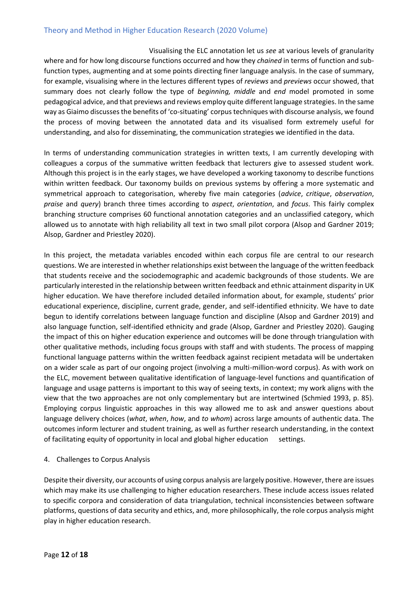Visualising the ELC annotation let us *see* at various levels of granularity where and for how long discourse functions occurred and how they *chained* in terms of function and subfunction types, augmenting and at some points directing finer language analysis. In the case of summary, for example, visualising where in the lectures different types of *reviews* and *previews* occur showed, that summary does not clearly follow the type of *beginning, middle* and *end* model promoted in some pedagogical advice, and that previews and reviews employ quite different language strategies. In the same way as Giaimo discusses the benefits of 'co-situating' corpus techniques with discourse analysis, we found the process of moving between the annotated data and its visualised form extremely useful for understanding, and also for disseminating, the communication strategies we identified in the data.

In terms of understanding communication strategies in written texts, I am currently developing with colleagues a corpus of the summative written feedback that lecturers give to assessed student work. Although this project is in the early stages, we have developed a working taxonomy to describe functions within written feedback. Our taxonomy builds on previous systems by offering a more systematic and symmetrical approach to categorisation, whereby five main categories (*advice*, *critique*, *observation*, *praise* and *query*) branch three times according to *aspect*, *orientation*, and *focus*. This fairly complex branching structure comprises 60 functional annotation categories and an unclassified category, which allowed us to annotate with high reliability all text in two small pilot corpora (Alsop and Gardner 2019; Alsop, Gardner and Priestley 2020).

In this project, the metadata variables encoded within each corpus file are central to our research questions. We are interested in whether relationships exist between the language of the written feedback that students receive and the sociodemographic and academic backgrounds of those students. We are particularly interested in the relationship between written feedback and ethnic attainment disparity in UK higher education. We have therefore included detailed information about, for example, students' prior educational experience, discipline, current grade, gender, and self-identified ethnicity. We have to date begun to identify correlations between language function and discipline (Alsop and Gardner 2019) and also language function, self-identified ethnicity and grade (Alsop, Gardner and Priestley 2020). Gauging the impact of this on higher education experience and outcomes will be done through triangulation with other qualitative methods, including focus groups with staff and with students. The process of mapping functional language patterns within the written feedback against recipient metadata will be undertaken on a wider scale as part of our ongoing project (involving a multi-million-word corpus). As with work on the ELC, movement between qualitative identification of language-level functions and quantification of language and usage patterns is important to this way of seeing texts, in context; my work aligns with the view that the two approaches are not only complementary but are intertwined (Schmied 1993, p. 85). Employing corpus linguistic approaches in this way allowed me to ask and answer questions about language delivery choices (*what*, *when*, *how*, and *to whom*) across large amounts of authentic data. The outcomes inform lecturer and student training, as well as further research understanding, in the context of facilitating equity of opportunity in local and global higher education settings.

### 4. Challenges to Corpus Analysis

Despite their diversity, our accounts of using corpus analysis are largely positive. However, there are issues which may make its use challenging to higher education researchers. These include access issues related to specific corpora and consideration of data triangulation, technical inconsistencies between software platforms, questions of data security and ethics, and, more philosophically, the role corpus analysis might play in higher education research.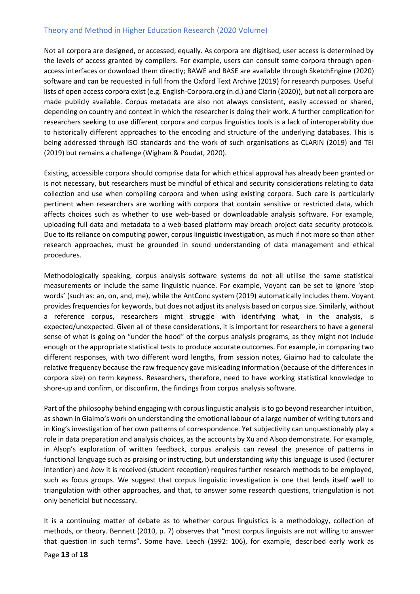Not all corpora are designed, or accessed, equally. As corpora are digitised, user access is determined by the levels of access granted by compilers. For example, users can consult some corpora through openaccess interfaces or download them directly; BAWE and BASE are available through SketchEngine (2020) software and can be requested in full from the Oxford Text Archive (2019) for research purposes. Useful lists of open access corpora exist (e.g. English-Corpora.org (n.d.) and Clarin (2020)), but not all corpora are made publicly available. Corpus metadata are also not always consistent, easily accessed or shared, depending on country and context in which the researcher is doing their work. A further complication for researchers seeking to use different corpora and corpus linguistics tools is a lack of interoperability due to historically different approaches to the encoding and structure of the underlying databases. This is being addressed through ISO standards and the work of such organisations as CLARIN (2019) and TEI (2019) but remains a challenge (Wigham & Poudat, 2020).

Existing, accessible corpora should comprise data for which ethical approval has already been granted or is not necessary, but researchers must be mindful of ethical and security considerations relating to data collection and use when compiling corpora and when using existing corpora. Such care is particularly pertinent when researchers are working with corpora that contain sensitive or restricted data, which affects choices such as whether to use web-based or downloadable analysis software. For example, uploading full data and metadata to a web-based platform may breach project data security protocols. Due to its reliance on computing power, corpus linguistic investigation, as much if not more so than other research approaches, must be grounded in sound understanding of data management and ethical procedures.

Methodologically speaking, corpus analysis software systems do not all utilise the same statistical measurements or include the same linguistic nuance. For example, Voyant can be set to ignore 'stop words' (such as: an, on, and, me), while the AntConc system (2019) automatically includes them. Voyant provides frequencies for keywords, but does not adjust its analysis based on corpussize. Similarly, without a reference corpus, researchers might struggle with identifying what, in the analysis, is expected/unexpected. Given all of these considerations, it is important for researchers to have a general sense of what is going on "under the hood" of the corpus analysis programs, as they might not include enough or the appropriate statistical tests to produce accurate outcomes. For example, in comparing two different responses, with two different word lengths, from session notes, Giaimo had to calculate the relative frequency because the raw frequency gave misleading information (because of the differences in corpora size) on term keyness. Researchers, therefore, need to have working statistical knowledge to shore-up and confirm, or disconfirm, the findings from corpus analysis software.

Part of the philosophy behind engaging with corpus linguistic analysis is to go beyond researcher intuition, as shown in Giaimo's work on understanding the emotional labour of a large number of writing tutors and in King's investigation of her own patterns of correspondence. Yet subjectivity can unquestionably play a role in data preparation and analysis choices, as the accounts by Xu and Alsop demonstrate. For example, in Alsop's exploration of written feedback, corpus analysis can reveal the presence of patterns in functional language such as praising or instructing, but understanding *why* this language is used (lecturer intention) and *how* it is received (student reception) requires further research methods to be employed, such as focus groups. We suggest that corpus linguistic investigation is one that lends itself well to triangulation with other approaches, and that, to answer some research questions, triangulation is not only beneficial but necessary.

It is a continuing matter of debate as to whether corpus linguistics is a methodology, collection of methods, or theory. Bennett (2010, p. 7) observes that "most corpus linguists are not willing to answer that question in such terms". Some have. Leech (1992: 106), for example, described early work as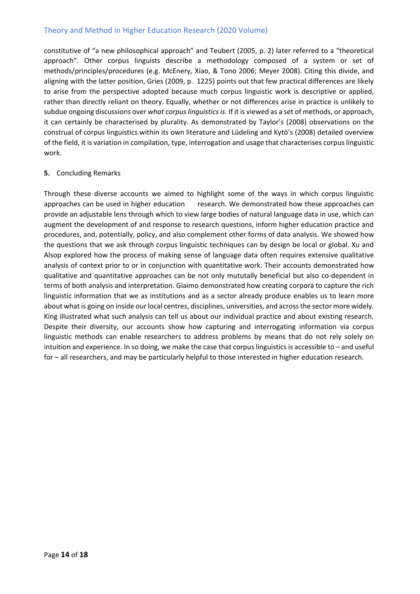constitutive of "a new philosophical approach" and Teubert (2005, p. 2) later referred to a "theoretical approach". Other corpus linguists describe a methodology composed of a system or set of methods/principles/procedures (e.g. McEnery, Xiao, & Tono 2006; Meyer 2008). Citing this divide, and aligning with the latter position, Gries (2009, p. 1225) points out that few practical differences are likely to arise from the perspective adopted because much corpus linguistic work is descriptive or applied, rather than directly reliant on theory. Equally, whether or not differences arise in practice is unlikely to subdue ongoing discussions over *what corpus linguistics is*. If it is viewed as a set of methods, or approach, it can certainly be characterised by plurality. As demonstrated by Taylor's (2008) observations on the construal of corpus linguistics within its own literature and Lüdeling and Kytö's (2008) detailed overview of the field, it is variation in compilation, type, interrogation and usage that characterises corpus linguistic work.

#### **5.** Concluding Remarks

Through these diverse accounts we aimed to highlight some of the ways in which corpus linguistic approaches can be used in higher education research. We demonstrated how these approaches can provide an adjustable lens through which to view large bodies of natural language data in use, which can augment the development of and response to research questions, inform higher education practice and procedures, and, potentially, policy, and also complement other forms of data analysis. We showed how the questions that we ask through corpus linguistic techniques can by design be local or global. Xu and Alsop explored how the process of making sense of language data often requires extensive qualitative analysis of context prior to or in conjunction with quantitative work. Their accounts demonstrated how qualitative and quantitative approaches can be not only mututally beneficial but also co-dependent in terms of both analysis and interpretation. Giaimo demonstrated how creating corpora to capture the rich linguistic information that we as institutions and as a sector already produce enables us to learn more about what is going on inside our local centres, disciplines, universities, and across the sector more widely. King illustrated what such analysis can tell us about our individual practice and about existing research. Despite their diversity, our accounts show how capturing and interrogating information via corpus linguistic methods can enable researchers to address problems by means that do not rely solely on intuition and experience. In so doing, we make the case that corpus linguistics is accessible to – and useful for – all researchers, and may be particularly helpful to those interested in higher education research.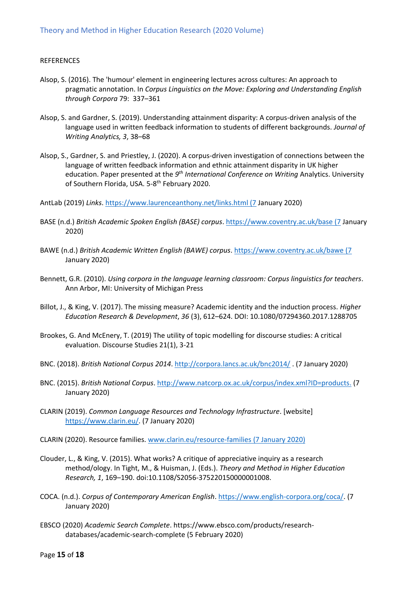#### REFERENCES

- Alsop, S. (2016). The 'humour' element in engineering lectures across cultures: An approach to pragmatic annotation. In *Corpus Linguistics on the Move: Exploring and Understanding English through Corpora* 79: 337–361
- Alsop, S. and Gardner, S. (2019). Understanding attainment disparity: A corpus-driven analysis of the language used in written feedback information to students of different backgrounds. *Journal of Writing Analytics, 3*, 38–68
- Alsop, S., Gardner, S. and Priestley, J. (2020). A corpus-driven investigation of connections between the language of written feedback information and ethnic attainment disparity in UK higher education. Paper presented at the 9<sup>th</sup> International Conference on Writing Analytics. University of Southern Florida, USA. 5-8<sup>th</sup> February 2020.
- AntLab (2019) *Links*. [https://www.laurenceanthony.net/links.html \(7](https://www.laurenceanthony.net/links.html%20(7) January 2020)
- BASE (n.d.) *British Academic Spoken English (BASE) corpus*. [https://www.coventry.ac.uk/base \(7](https://www.coventry.ac.uk/base%20(7) January 2020)
- BAWE (n.d.) *British Academic Written English (BAWE) corpus*. [https://www.coventry.ac.uk/bawe \(7](https://www.coventry.ac.uk/bawe%20(7) January 2020)
- Bennett, G.R. (2010). *Using corpora in the language learning classroom: Corpus linguistics for teachers*. Ann Arbor, MI: University of Michigan Press
- Billot, J., & King, V. (2017). The missing measure? Academic identity and the induction process. *Higher Education Research & Development*, *36* (3), 612–624. DOI: 10.1080/07294360.2017.1288705
- Brookes, G. And McEnery, T. (2019) The utility of topic modelling for discourse studies: A critical evaluation. Discourse Studies 21(1), 3-21
- BNC. (2018). *British National Corpus 2014*.<http://corpora.lancs.ac.uk/bnc2014/> . (7 January 2020)
- BNC. (2015). *British National Corpus*. [http://www.natcorp.ox.ac.uk/corpus/index.xml?ID=products.](http://www.natcorp.ox.ac.uk/corpus/index.xml?ID=products) (7 January 2020)
- CLARIN (2019). *Common Language Resources and Technology Infrastructure*. [website] [https://www.clarin.eu/.](https://www.clarin.eu/) (7 January 2020)
- CLARIN (2020). Resource families. [www.clarin.eu/resource-families \(7](http://www.clarin.eu/resource-families%20(7) January 2020)
- Clouder, L., & King, V. (2015). What works? A critique of appreciative inquiry as a research method/ology. In Tight, M., & Huisman, J. (Eds.). *Theory and Method in Higher Education Research, 1*, 169–190. doi:10.1108/S2056-375220150000001008.
- COCA. (n.d.). *Corpus of Contemporary American English*[. https://www.english-corpora.org/coca/.](https://www.english-corpora.org/coca/) (7 January 2020)
- EBSCO (2020) *Academic Search Complete*. [https://www.ebsco.com/products/research](https://www.ebsco.com/products/research-databases/academic-search-complete)[databases/academic-search-complete](https://www.ebsco.com/products/research-databases/academic-search-complete) (5 February 2020)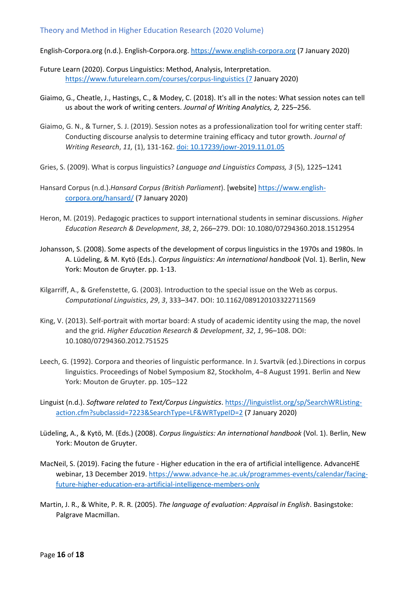English-Corpora.org (n.d.). English-Corpora.org[. https://www.english-corpora.org](https://www.english-corpora.org/) (7 January 2020)

- Future Learn (2020). Corpus Linguistics: Method, Analysis, Interpretation. [https://www.futurelearn.com/courses/corpus-linguistics \(7](https://www.futurelearn.com/courses/corpus-linguistics%20(7) January 2020)
- Giaimo, G., Cheatle, J., Hastings, C., & Modey, C. (2018). It's all in the notes: What session notes can tell us about the work of writing centers. *Journal of Writing Analytics, 2,* 225–256.
- Giaimo, G. N., & Turner, S. J. (2019). Session notes as a professionalization tool for writing center staff: Conducting discourse analysis to determine training efficacy and tutor growth. *Journal of Writing Research*, *11,* (1), 131-162. [doi: 10.17239/jowr-2019.11.01.05](http://www.jowr.org/Ccount/click.php?id=171)
- Gries, S. (2009). What is corpus linguistics? *Language and Linguistics Compass, 3* (5), 1225–1241
- Hansard Corpus (n.d.).*Hansard Corpus (British Parliament*). [website] [https://www.english](https://www.english-corpora.org/hansard/)[corpora.org/hansard/](https://www.english-corpora.org/hansard/) (7 January 2020)
- Heron, M. (2019). Pedagogic practices to support international students in seminar discussions. *Higher Education Research & Development*, *38*, 2, 266–279. DOI: 10.1080/07294360.2018.1512954
- Johansson, S. (2008). Some aspects of the development of corpus linguistics in the 1970s and 1980s. In A. Lüdeling, & M. Kytö (Eds.). *Corpus linguistics: An international handbook* (Vol. 1). Berlin, New York: Mouton de Gruyter. pp. 1-13.
- Kilgarriff, A., & Grefenstette, G. (2003). Introduction to the special issue on the Web as corpus. *Computational Linguistics*, *29*, *3*, 333–347. DOI: 10.1162/089120103322711569
- King, V. (2013). Self-portrait with mortar board: A study of academic identity using the map, the novel and the grid. *Higher Education Research & Development*, *32*, *1*, 96–108. DOI: 10.1080/07294360.2012.751525
- Leech, G. (1992). Corpora and theories of linguistic performance. In J. Svartvik (ed.).Directions in corpus linguistics. Proceedings of Nobel Symposium 82, Stockholm, 4–8 August 1991. Berlin and New York: Mouton de Gruyter. pp. 105–122
- Linguist (n.d.). *Software related to Text/Corpus Linguistics*. [https://linguistlist.org/sp/SearchWRListing](https://linguistlist.org/sp/SearchWRListing-action.cfm?subclassid=7223&SearchType=LF&WRTypeID=2)[action.cfm?subclassid=7223&SearchType=LF&WRTypeID=2](https://linguistlist.org/sp/SearchWRListing-action.cfm?subclassid=7223&SearchType=LF&WRTypeID=2) (7 January 2020)
- Lüdeling, A., & Kytö, M. (Eds.) (2008). *Corpus linguistics: An international handbook* (Vol. 1). Berlin, New York: Mouton de Gruyter.
- MacNeil, S. (2019). Facing the future Higher education in the era of artificial intelligence. AdvanceHE webinar, 13 December 2019. [https://www.advance-he.ac.uk/programmes-events/calendar/facing](https://www.advance-he.ac.uk/programmes-events/calendar/facing-future-higher-education-era-artificial-intelligence-members-only)[future-higher-education-era-artificial-intelligence-members-only](https://www.advance-he.ac.uk/programmes-events/calendar/facing-future-higher-education-era-artificial-intelligence-members-only)
- Martin, J. R., & White, P. R. R. (2005). *The language of evaluation: Appraisal in English*. Basingstoke: Palgrave Macmillan.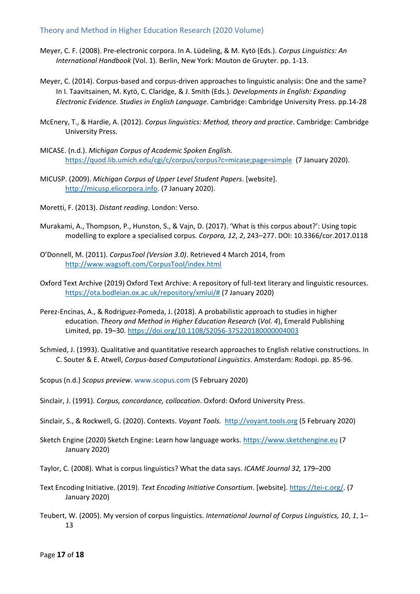- Meyer, C. F. (2008). Pre-electronic corpora. In A. Lüdeling, & M. Kytö (Eds.). *Corpus Linguistics: An International Handbook* (Vol. 1). Berlin, New York: Mouton de Gruyter. pp. 1-13.
- Meyer, C. (2014). Corpus-based and corpus-driven approaches to linguistic analysis: One and the same? In I. Taavitsainen, M. Kytö, C. Claridge, & J. Smith (Eds.). *Developments in English: Expanding Electronic Evidence. Studies in English Language*. Cambridge: Cambridge University Press. pp.14-28
- McEnery, T., & Hardie, A. (2012). *Corpus linguistics: Method, theory and practice*. Cambridge: Cambridge University Press.
- MICASE. (n.d.). *Michigan Corpus of Academic Spoken English.* <https://quod.lib.umich.edu/cgi/c/corpus/corpus?c=micase;page=simple>(7 January 2020).
- MICUSP. (2009). *Michigan Corpus of Upper Level Student Papers*. [website]. [http://micusp.elicorpora.info.](http://micusp.elicorpora.info/) (7 January 2020).
- Moretti, F. (2013). *Distant reading*. London: Verso.
- Murakami, A., Thompson, P., Hunston, S., & Vajn, D. (2017). 'What is this corpus about?': Using topic modelling to explore a specialised corpus. *Corpora, 12*, *2*, 243–277. DOI: 10.3366/cor.2017.0118
- O'Donnell, M. (2011). *CorpusTool (Version 3.0)*. Retrieved 4 March 2014, from <http://www.wagsoft.com/CorpusTool/index.html>
- Oxford Text Archive (2019) Oxford Text Archive: A repository of full-text literary and linguistic resources. [https://ota.bodleian.ox.ac.uk/repository/xmlui/#](https://ota.bodleian.ox.ac.uk/repository/xmlui/) (7 January 2020)
- Perez-Encinas, A., & Rodriguez-Pomeda, J. (2018). A probabilistic approach to studies in higher education. *Theory and Method in Higher Education Research* (*Vol. 4*), Emerald Publishing Limited, pp. 19–30.<https://doi.org/10.1108/S2056-375220180000004003>
- Schmied, J. (1993). Qualitative and quantitative research approaches to English relative constructions. In C. Souter & E. Atwell, *Corpus-based Computational Linguistics*. Amsterdam: Rodopi. pp. 85-96.
- Scopus (n.d.) *Scopus preview*[. www.scopus.com](http://www.scopus.com/) (5 February 2020)
- Sinclair, J. (1991). *Corpus, concordance, collocation*. Oxford: Oxford University Press.
- Sinclair, S., & Rockwell, G. (2020). Contexts. *Voyant Tools.* [http://voyant.tools.org](http://voyant.tools.org/) (5 February 2020)
- Sketch Engine (2020) Sketch Engine: Learn how language works. [https://www.sketchengine.eu](https://www.sketchengine.eu/) (7 January 2020)
- Taylor, C. (2008). What is corpus linguistics? What the data says. *ICAME Journal 32,* 179–200
- Text Encoding Initiative. (2019). *Text Encoding Initiative Consortium*. [website][. https://tei-c.org/.](https://tei-c.org/) (7 January 2020)
- Teubert, W. (2005). My version of corpus linguistics. *International Journal of Corpus Linguistics, 10*, *1*, 1– 13